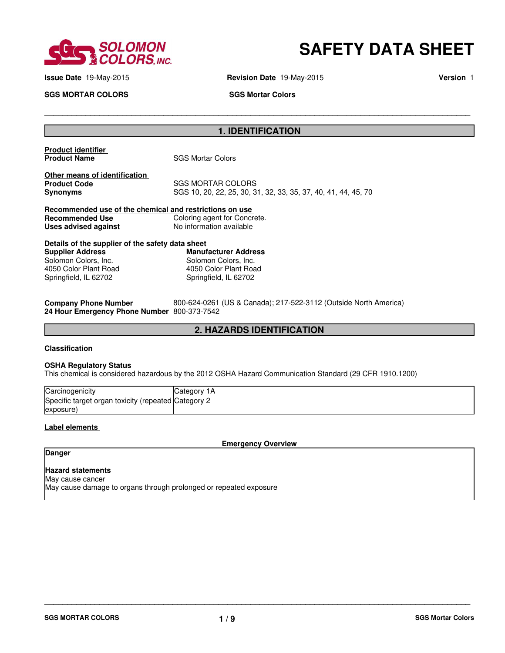

# **SAFETY DATA SHEET**

**SGS MORTAR COLORS** SGS Mortar Colors

**Issue Date** 19-May-2015 **Revision Date** 19-May-2015 **Version** 1

### **1. IDENTIFICATION**

\_\_\_\_\_\_\_\_\_\_\_\_\_\_\_\_\_\_\_\_\_\_\_\_\_\_\_\_\_\_\_\_\_\_\_\_\_\_\_\_\_\_\_\_\_\_\_\_\_\_\_\_\_\_\_\_\_\_\_\_\_\_\_\_\_\_\_\_\_\_\_\_\_\_\_\_\_\_\_\_\_\_\_\_\_\_\_\_\_\_\_\_\_

**Product identifier** 

**SGS Mortar Colors** 

**Other means of identification**<br>**Product Code Product Code** SGS MORTAR COLORS<br> **SGS** 10, 20, 22, 25, 30, 3

**Synonyms** SGS 10, 20, 22, 25, 30, 31, 32, 33, 35, 37, 40, 41, 44, 45, 70

| Recommended use of the chemical and restrictions on use |                              |
|---------------------------------------------------------|------------------------------|
| Recommended Use                                         | Coloring agent for Concrete. |
| Uses advised against                                    | No information available     |

| Details of the supplier of the safety data sheet |                             |  |  |
|--------------------------------------------------|-----------------------------|--|--|
| Supplier Address                                 | <b>Manufacturer Address</b> |  |  |
| Solomon Colors, Inc.                             | Solomon Colors, Inc.        |  |  |
| 4050 Color Plant Road                            | 4050 Color Plant Road       |  |  |
| Springfield, IL 62702                            | Springfield, IL 62702       |  |  |
|                                                  |                             |  |  |

| <b>Company Phone Number</b>                 | 800-624-0261 (US & Canada); 217-522-3112 (Outside North America) |
|---------------------------------------------|------------------------------------------------------------------|
| 24 Hour Emergency Phone Number 800-373-7542 |                                                                  |

### **2. HAZARDS IDENTIFICATION**

Address

#### **Classification**

#### **OSHA Regulatory Status**

This chemical is considered hazardous by the 2012 OSHA Hazard Communication Standard (29 CFR 1910.1200)

| Carcinogenicity                | ∵ategory.<br>1А        |
|--------------------------------|------------------------|
| Specific target organ toxicity | / (repeated Category 2 |
| (exposure                      |                        |

#### **Label elements**

**Emergency Overview**

\_\_\_\_\_\_\_\_\_\_\_\_\_\_\_\_\_\_\_\_\_\_\_\_\_\_\_\_\_\_\_\_\_\_\_\_\_\_\_\_\_\_\_\_\_\_\_\_\_\_\_\_\_\_\_\_\_\_\_\_\_\_\_\_\_\_\_\_\_\_\_\_\_\_\_\_\_\_\_\_\_\_\_\_\_\_\_\_\_\_\_\_\_

### **Danger**

### **Hazard statements**

May cause cancer May cause damage to organs through prolonged or repeated exposure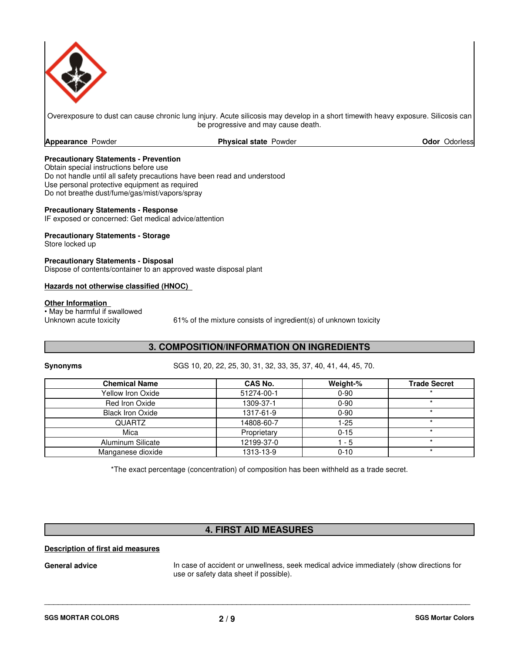

Overexposure to dust can cause chronic lung injury. Acute silicosis may develop in a short timewith heavy exposure. Silicosis can be progressive and may cause death.

**Appearance** Powder

**Physical state Powder <b>Construction Odor Odorless** 

#### **Precautionary Statements - Prevention**

Obtain special instructions before use Do not handle until all safety precautions have been read and understood Use personal protective equipment as required Do not breathe dust/fume/gas/mist/vapors/spray

### **Precautionary Statements - Response**

IF exposed or concerned: Get medical advice/attention

### **Precautionary Statements - Storage**

Store locked up

**Precautionary Statements - Disposal** Dispose of contents/container to an approved waste disposal plant

#### **Hazards not otherwise classified (HNOC)**

#### **Other Information**

• May be harmful if swallowed<br>Unknown acute toxicity

 $61%$  of the mixture consists of ingredient(s) of unknown toxicity

### **3. COMPOSITION/INFORMATION ON INGREDIENTS**

**Synonyms** SGS 10, 20, 22, 25, 30, 31, 32, 33, 35, 37, 40, 41, 44, 45, 70.

| <b>Chemical Name</b>    | CAS No.     | Weight-% | <b>Trade Secret</b> |
|-------------------------|-------------|----------|---------------------|
| Yellow Iron Oxide       | 51274-00-1  | $0 - 90$ |                     |
| Red Iron Oxide          | 1309-37-1   | $0 - 90$ |                     |
| <b>Black Iron Oxide</b> | 1317-61-9   | $0 - 90$ |                     |
| <b>QUARTZ</b>           | 14808-60-7  | $1-25$   |                     |
| Mica                    | Proprietary | $0 - 15$ |                     |
| Aluminum Silicate       | 12199-37-0  | 1 - 5    |                     |
| Manganese dioxide       | 1313-13-9   | $0 - 10$ |                     |

\*The exact percentage (concentration) of composition has been withheld as a trade secret.

### **4. FIRST AID MEASURES**

\_\_\_\_\_\_\_\_\_\_\_\_\_\_\_\_\_\_\_\_\_\_\_\_\_\_\_\_\_\_\_\_\_\_\_\_\_\_\_\_\_\_\_\_\_\_\_\_\_\_\_\_\_\_\_\_\_\_\_\_\_\_\_\_\_\_\_\_\_\_\_\_\_\_\_\_\_\_\_\_\_\_\_\_\_\_\_\_\_\_\_\_\_

### **Description of first aid measures**

General advice **In case of accident or unwellness**, seek medical advice immediately (show directions for use or safety data sheet if possible).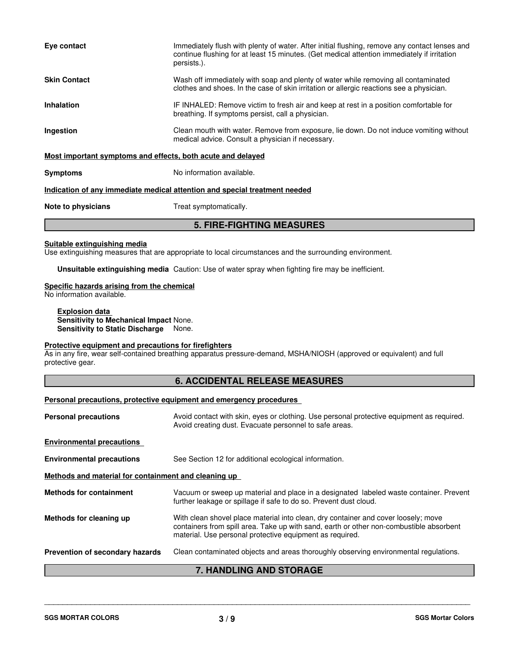| Eye contact                                                                | Immediately flush with plenty of water. After initial flushing, remove any contact lenses and<br>continue flushing for at least 15 minutes. (Get medical attention immediately if irritation<br>persists.). |  |  |
|----------------------------------------------------------------------------|-------------------------------------------------------------------------------------------------------------------------------------------------------------------------------------------------------------|--|--|
| <b>Skin Contact</b>                                                        | Wash off immediately with soap and plenty of water while removing all contaminated<br>clothes and shoes. In the case of skin irritation or allergic reactions see a physician.                              |  |  |
| <b>Inhalation</b>                                                          | IF INHALED: Remove victim to fresh air and keep at rest in a position comfortable for<br>breathing. If symptoms persist, call a physician.                                                                  |  |  |
| Ingestion                                                                  | Clean mouth with water. Remove from exposure, lie down. Do not induce vomiting without<br>medical advice. Consult a physician if necessary.                                                                 |  |  |
| Most important symptoms and effects, both acute and delayed                |                                                                                                                                                                                                             |  |  |
| <b>Symptoms</b>                                                            | No information available.                                                                                                                                                                                   |  |  |
| Indication of any immediate medical attention and special treatment needed |                                                                                                                                                                                                             |  |  |
| Note to physicians                                                         | Treat symptomatically.                                                                                                                                                                                      |  |  |
| <b>5. FIRE-FIGHTING MEASURES</b>                                           |                                                                                                                                                                                                             |  |  |

### **Suitable extinguishing media**

Use extinguishing measures that are appropriate to local circumstances and the surrounding environment.

**Unsuitable extinguishing media** Caution: Use of water spray when fighting fire may be inefficient.

### **Specific hazards arising from the chemical**

No information available.

**Explosion data Sensitivity to Mechanical Impact** None. **Sensitivity to Static Discharge** None.

#### **Protective equipment and precautions for firefighters**

As in any fire, wear self-contained breathing apparatus pressure-demand, MSHA/NIOSH (approved or equivalent) and full protective gear.

### **6. ACCIDENTAL RELEASE MEASURES**

#### **Personal precautions, protective equipment and emergency procedures**

| <b>UANDI ING AND CTODACE</b><br>7                    |                                                                                                                                                                                                                                           |  |  |
|------------------------------------------------------|-------------------------------------------------------------------------------------------------------------------------------------------------------------------------------------------------------------------------------------------|--|--|
| Prevention of secondary hazards                      | Clean contaminated objects and areas thoroughly observing environmental regulations.                                                                                                                                                      |  |  |
| Methods for cleaning up                              | With clean shovel place material into clean, dry container and cover loosely; move<br>containers from spill area. Take up with sand, earth or other non-combustible absorbent<br>material. Use personal protective equipment as required. |  |  |
| <b>Methods for containment</b>                       | Vacuum or sweep up material and place in a designated labeled waste container. Prevent<br>further leakage or spillage if safe to do so. Prevent dust cloud.                                                                               |  |  |
| Methods and material for containment and cleaning up |                                                                                                                                                                                                                                           |  |  |
| <b>Environmental precautions</b>                     | See Section 12 for additional ecological information.                                                                                                                                                                                     |  |  |
| <b>Environmental precautions</b>                     |                                                                                                                                                                                                                                           |  |  |
| <b>Personal precautions</b>                          | Avoid contact with skin, eyes or clothing. Use personal protective equipment as required.<br>Avoid creating dust. Evacuate personnel to safe areas.                                                                                       |  |  |
|                                                      |                                                                                                                                                                                                                                           |  |  |

### **7. HANDLING AND STORAGE**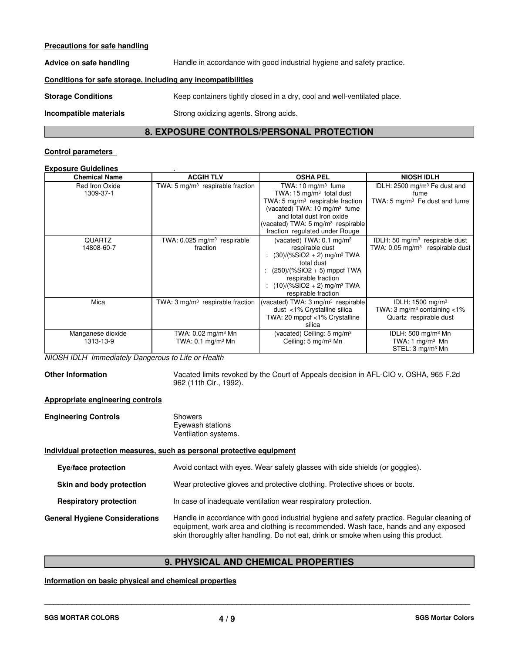#### **Precautions for safe handling**

Advice on safe handling **Handle in accordance with good industrial hygiene and safety practice.** 

#### **Conditions for safe storage, including any incompatibilities**

**Storage Conditions** Keep containers tightly closed in a dry, cool and well-ventilated place.

**Incompatible materials** Strong oxidizing agents. Strong acids.

### **8. EXPOSURE CONTROLS/PERSONAL PROTECTION**

#### **Control parameters**

#### **Exposure Guidelines** .

| <b>Chemical Name</b>           | <b>ACGIH TLV</b>                                               | <b>OSHA PEL</b>                                                                                                                                                                                                                                 | <b>NIOSH IDLH</b>                                                                                      |
|--------------------------------|----------------------------------------------------------------|-------------------------------------------------------------------------------------------------------------------------------------------------------------------------------------------------------------------------------------------------|--------------------------------------------------------------------------------------------------------|
| Red Iron Oxide<br>1309-37-1    | TWA: 5 $mg/m3$ respirable fraction                             | TWA: $10 \text{ mg/m}^3$ fume<br>TWA: 15 $mg/m3$ total dust<br>TWA: 5 $mg/m3$ respirable fraction<br>(vacated) TWA: 10 mg/m <sup>3</sup> fume                                                                                                   | IDLH: $2500 \text{ mg/m}^3$ Fe dust and<br>fume<br>TWA: $5 \text{ mg/m}^3$ Fe dust and fume            |
|                                |                                                                | and total dust Iron oxide<br>(vacated) TWA: $5 \text{ mg/m}^3$ respirable<br>fraction regulated under Rouge                                                                                                                                     |                                                                                                        |
| <b>QUARTZ</b><br>14808-60-7    | TWA: $0.025$ mg/m <sup>3</sup> respirable<br>fraction          | (vacated) TWA: $0.1 \text{ mg/m}^3$<br>respirable dust<br>: $(30)/(%SiO2 + 2)$ mg/m <sup>3</sup> TWA<br>total dust<br>$(250)/(%SiO2 + 5)$ mppcf TWA<br>respirable fraction<br>: $(10)/(%SiO2 + 2)$ mg/m <sup>3</sup> TWA<br>respirable fraction | IDLH: 50 $mg/m3$ respirable dust<br>TWA: $0.05 \text{ mg/m}^3$ respirable dust                         |
| Mica                           | TWA: $3 \text{ mg/m}^3$ respirable fraction                    | (vacated) TWA: 3 mg/m <sup>3</sup> respirable<br>dust <1% Crystalline silica<br>TWA: 20 mppcf <1% Crystalline<br>silica                                                                                                                         | IDLH: $1500$ mg/m <sup>3</sup><br>TWA: 3 mg/m <sup>3</sup> containing $<$ 1%<br>Quartz respirable dust |
| Manganese dioxide<br>1313-13-9 | TWA: 0.02 mg/m <sup>3</sup> Mn<br>TWA: $0.1 \text{ mg/m}^3$ Mn | (vacated) Ceiling: $5 \text{ mg/m}^3$<br>Ceiling: 5 mg/m <sup>3</sup> Mn                                                                                                                                                                        | IDLH: 500 mg/m <sup>3</sup> Mn<br>TWA: 1 mg/m <sup>3</sup> Mn<br>STEL: 3 mg/m <sup>3</sup> Mn          |

*NIOSH IDLH Immediately Dangerous to Life or Health*

**Other Information** Vacated limits revoked by the Court of Appeals decision in AFL-CIO v. OSHA, 965 F.2d 962 (11th Cir., 1992).

#### **Appropriate engineering controls**

| <b>Engineering Controls</b> | Showers              |  |
|-----------------------------|----------------------|--|
|                             | Eyewash stations     |  |
|                             | Ventilation systems. |  |

#### **Individual protection measures, such as personal protective equipment**

**Eye/face protection** Avoid contact with eyes. Wear safety glasses with side shields (or goggles).

**Skin and body protection** Wear protective gloves and protective clothing. Protective shoes or boots.

**Respiratory protection** In case of inadequate ventilation wear respiratory protection.

| <b>General Hygiene Considerations</b> | Handle in accordance with good industrial hygiene and safety practice. Regular cleaning of |
|---------------------------------------|--------------------------------------------------------------------------------------------|
|                                       | equipment, work area and clothing is recommended. Wash face, hands and any exposed         |
|                                       | skin thoroughly after handling. Do not eat, drink or smoke when using this product.        |

### **9. PHYSICAL AND CHEMICAL PROPERTIES**

\_\_\_\_\_\_\_\_\_\_\_\_\_\_\_\_\_\_\_\_\_\_\_\_\_\_\_\_\_\_\_\_\_\_\_\_\_\_\_\_\_\_\_\_\_\_\_\_\_\_\_\_\_\_\_\_\_\_\_\_\_\_\_\_\_\_\_\_\_\_\_\_\_\_\_\_\_\_\_\_\_\_\_\_\_\_\_\_\_\_\_\_\_

#### **Information on basic physical and chemical properties**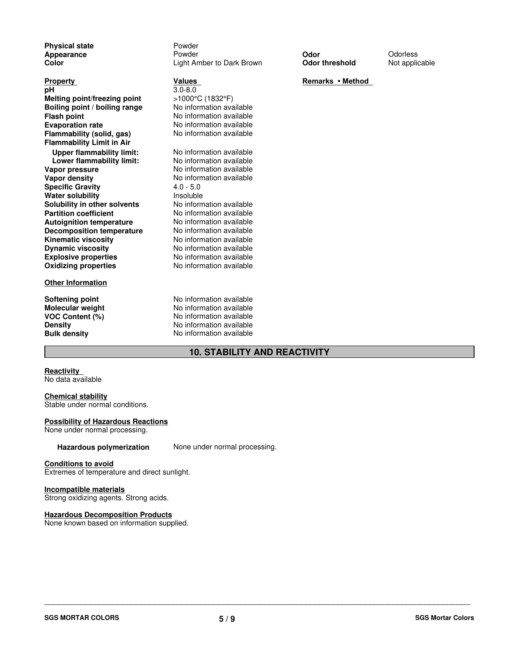**Physical state Powder**<br> **Powder**<br> **Powder Explosive properties** No information available **Oxidizing properties** No information available **Appearance** Powder **Odor** Odorless **Color Color Color Light Amber to Dark Brown Odor threshold** Not applicable **Property**<br> **Remarks • Method bH**<br> **Property**<br> **Remarks • Method 3.0-8.0 pH** 3.0-8.0 **Melting point/freezing point**  $>1000^{\circ}$ C (1832°F)<br> **Boiling point / boiling range** No information available **Boiling point / boiling range<br>Flash point Evaporation rate Evaporation available**<br> **Elammability (solid. gas)** No information available **Flammability (solid, gas) Flammability Limit in Air Upper flammability limit:** No information available<br> **Lower flammability limit:** No information available **Lower flammability limit:**<br>Vapor pressure **Vapor pressure**  $\frac{1}{2}$  No information available<br> **Vapor density** No information available **Specific Gravity** 4.0 - 5.0<br> **Water solubility** Mater Insoluble **Water solubility**<br> **Solubility in other solvents** Mo information available **Solubility in other solvents<br>Partition coefficient Autoignition temperature Decomposition temperature** No information available<br> **Kinematic viscosity** No information available **Kinematic viscosity Dynamic viscosity**

#### **Other Information**

**VOC Content (%)** 

**Flash point** No information available

**No information available**<br>4.0 - 5.0 **No information available** No information available<br>No information available No information available

**Softening point No information available**<br> **Molecular weight No information available Molecular weight** No information available<br> **VOC Content** (%) No information available **Density** No information available **Bulk density** No information available

### **10. STABILITY AND REACTIVITY**

#### **Reactivity**

No data available

#### **Chemical stability**

Stable under normal conditions.

#### **Possibility of Hazardous Reactions**

None under normal processing.

#### Hazardous polymerization None under normal processing.

#### **Conditions to avoid**

Extremes of temperature and direct sunlight.

#### **Incompatible materials**

Strong oxidizing agents. Strong acids.

### **Hazardous Decomposition Products**

None known based on information supplied.

**SGS MORTAR COLORS**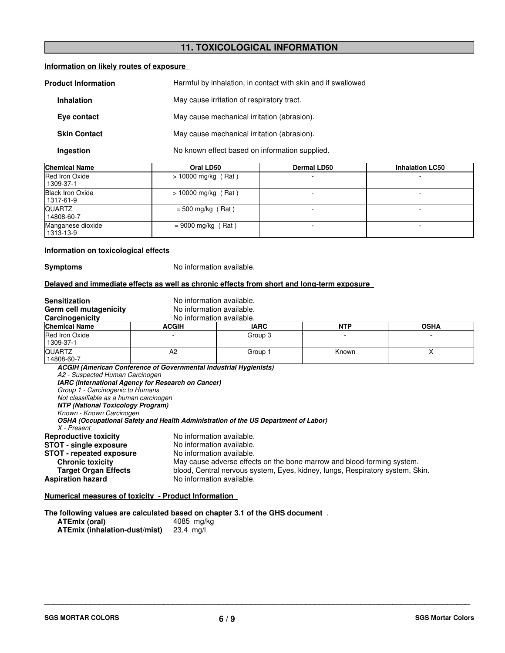### **11. TOXICOLOGICAL INFORMATION**

#### **Information on likely routes of exposure**

| <b>Product Information</b> | Harmful by inhalation, in contact with skin and if swallowed |  |
|----------------------------|--------------------------------------------------------------|--|
| <b>Inhalation</b>          | May cause irritation of respiratory tract.                   |  |
| Eye contact                | May cause mechanical irritation (abrasion).                  |  |
| <b>Skin Contact</b>        | May cause mechanical irritation (abrasion).                  |  |
| Ingestion                  | No known effect based on information supplied.               |  |

| <b>Chemical Name</b>                   | Oral LD50             | <b>Dermal LD50</b> | <b>Inhalation LC50</b> |
|----------------------------------------|-----------------------|--------------------|------------------------|
| Red Iron Oxide<br>  1309-37-1          | $> 10000$ mg/kg (Rat) |                    |                        |
| <b>Black Iron Oxide</b><br>  1317-61-9 | $> 10000$ mg/kg (Rat) |                    |                        |
| <b>QUARTZ</b><br>l 14808-60-7          | $=$ 500 mg/kg (Rat)   |                    |                        |
| Manganese dioxide<br>  1313-13-9       | $= 9000$ mg/kg (Rat)  |                    |                        |

#### **Information on toxicological effects**

**Symptoms** No information available.

#### **Delayed and immediate effects as well as chronic effects from short and long-term exposure**

| <b>Sensitization</b><br>Germ cell mutagenicity<br>Carcinogenicity                                                                                                                                    | No information available.<br>No information available.<br>No information available.                                                      |                                                                                                                                                                                                                                                                             |            |             |
|------------------------------------------------------------------------------------------------------------------------------------------------------------------------------------------------------|------------------------------------------------------------------------------------------------------------------------------------------|-----------------------------------------------------------------------------------------------------------------------------------------------------------------------------------------------------------------------------------------------------------------------------|------------|-------------|
| <b>Chemical Name</b>                                                                                                                                                                                 | <b>ACGIH</b>                                                                                                                             | <b>IARC</b>                                                                                                                                                                                                                                                                 | <b>NTP</b> | <b>OSHA</b> |
| Red Iron Oxide<br>1309-37-1                                                                                                                                                                          |                                                                                                                                          | Group 3                                                                                                                                                                                                                                                                     |            |             |
| <b>QUARTZ</b><br>14808-60-7                                                                                                                                                                          | A <sub>2</sub>                                                                                                                           | Group 1                                                                                                                                                                                                                                                                     | Known      | X           |
| A2 - Suspected Human Carcinogen<br>Group 1 - Carcinogenic to Humans<br>Not classifiable as a human carcinogen<br><b>NTP (National Toxicology Program)</b><br>Known - Known Carcinogen<br>X - Present | IARC (International Agency for Research on Cancer)<br>OSHA (Occupational Safety and Health Administration of the US Department of Labor) |                                                                                                                                                                                                                                                                             |            |             |
| <b>Reproductive toxicity</b><br><b>STOT - single exposure</b><br><b>STOT - repeated exposure</b><br><b>Chronic toxicity</b><br><b>Target Organ Effects</b><br><b>Aspiration hazard</b>               |                                                                                                                                          | No information available.<br>No information available.<br>No information available.<br>May cause adverse effects on the bone marrow and blood-forming system.<br>blood, Central nervous system, Eyes, kidney, lungs, Respiratory system, Skin.<br>No information available. |            |             |

**Numerical measures of toxicity - Product Information** 

**The following values are calculated based on chapter 3.1 of the GHS document** .

| ATEmix (oral)                 | 4085 mg/kg     |
|-------------------------------|----------------|
| ATEmix (inhalation-dust/mist) | $23.4 \,$ mg/l |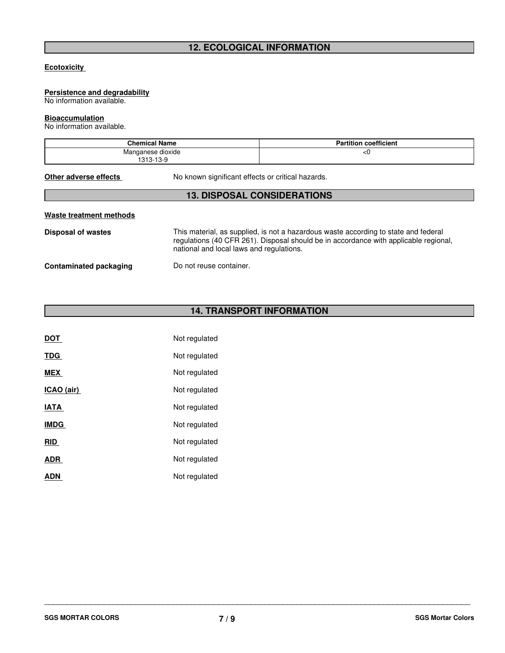### **12. ECOLOGICAL INFORMATION**

#### **Ecotoxicity**

### **Persistence and degradability**

No information available.

### **Bioaccumulation**

No information available.

| Chemical Name                  | <b>Partition coefficient</b> |
|--------------------------------|------------------------------|
| Manganese dioxide<br>1313-13-9 | ≺∪                           |

**Other adverse effects** No known significant effects or critical hazards.

### **13. DISPOSAL CONSIDERATIONS**

| Waste treatment methods |                                                                                                                                                                                                                         |
|-------------------------|-------------------------------------------------------------------------------------------------------------------------------------------------------------------------------------------------------------------------|
| Disposal of wastes      | This material, as supplied, is not a hazardous waste according to state and federal<br>regulations (40 CFR 261). Disposal should be in accordance with applicable regional,<br>national and local laws and regulations. |
| Contaminated packaging  | Do not reuse container.                                                                                                                                                                                                 |

## **14. TRANSPORT INFORMATION**

| DOT         | Not regulated |
|-------------|---------------|
| <b>TDG</b>  | Not regulated |
| MEX         | Not regulated |
| ICAO (air)  | Not regulated |
| <b>IATA</b> | Not regulated |
| <b>IMDG</b> | Not regulated |
| <b>RID</b>  | Not regulated |
| <b>ADR</b>  | Not regulated |
| ADN         | Not regulated |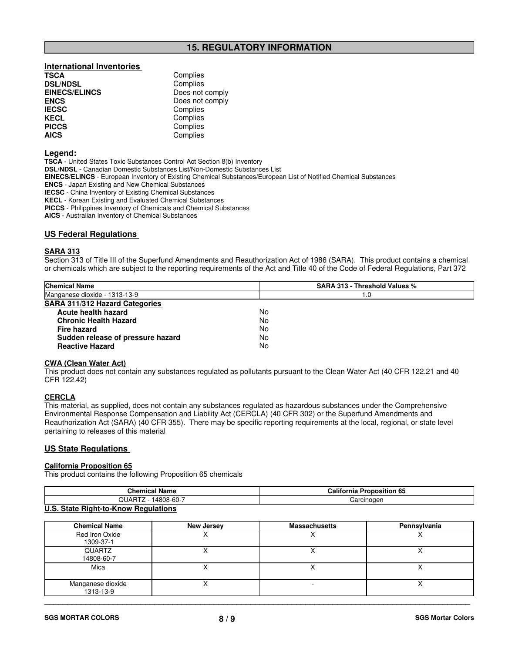### **15. REGULATORY INFORMATION**

### **International Inventories DSL/NDSL<br>EINECS/ELINCS EINECS/ELINCS** Does not comply<br> **ENCS** Does not comply **ENCS** Does not comply<br> **IECSC** Complies **IECSC** Complies<br> **IECSC** Complies **KECL Complies**<br> **PICCS** Complies **PICCS** Complies<br> **AICS** Complies

**Complies**<br>Complies **AICS** Complies

#### **Legend:**

**TSCA** - United States Toxic Substances Control Act Section 8(b) Inventory **DSL/NDSL** - Canadian Domestic Substances List/Non-Domestic Substances List **EINECS/ELINCS** - European Inventory of Existing Chemical Substances/European List of Notified Chemical Substances **ENCS** - Japan Existing and New Chemical Substances **IECSC** - China Inventory of Existing Chemical Substances **KECL** - Korean Existing and Evaluated Chemical Substances **PICCS** - Philippines Inventory of Chemicals and Chemical Substances

**AICS** - Australian Inventory of Chemical Substances

#### **US Federal Regulations**

#### **SARA 313**

Section 313 of Title III of the Superfund Amendments and Reauthorization Act of 1986 (SARA). This product contains a chemical or chemicals which are subject to the reporting requirements of the Act and Title 40 of the Code of Federal Regulations, Part 372

| <b>Chemical Name</b>              | SARA 313 - Threshold Values % |
|-----------------------------------|-------------------------------|
| Manganese dioxide - 1313-13-9     | 1.0                           |
| SARA 311/312 Hazard Categories    |                               |
| Acute health hazard               | No                            |
| <b>Chronic Health Hazard</b>      | No                            |
| Fire hazard                       | No                            |
| Sudden release of pressure hazard | No                            |
| <b>Reactive Hazard</b>            | No                            |

#### **CWA (Clean Water Act)**

This product does not contain any substances regulated as pollutants pursuant to the Clean Water Act (40 CFR 122.21 and 40 CFR 122.42)

#### **CERCLA**

This material, as supplied, does not contain any substances regulated as hazardous substances under the Comprehensive Environmental Response Compensation and Liability Act (CERCLA) (40 CFR 302) or the Superfund Amendments and Reauthorization Act (SARA) (40 CFR 355). There may be specific reporting requirements at the local, regional, or state level pertaining to releases of this material

#### **US State Regulations**

### **California Proposition 65**

This product contains the following Proposition 65 chemicals

| <b>Chemical Name</b>                                                                                                     | <b>California Proposition 65</b> |
|--------------------------------------------------------------------------------------------------------------------------|----------------------------------|
| QUARTZ<br>14808-60-7                                                                                                     | Carcinogen                       |
| $\mathbf{H} \cdot \mathbf{A}$ and $\mathbf{B}$ is the $\mathbf{B}$ is the set of $\mathbf{B}$ is the set of $\mathbf{B}$ |                                  |

#### **U.S. State Right-to-Know Regulations**

| <b>Chemical Name</b>           | <b>New Jersey</b> | <b>Massachusetts</b> | Pennsylvania |
|--------------------------------|-------------------|----------------------|--------------|
| Red Iron Oxide<br>1309-37-1    |                   |                      |              |
| QUARTZ<br>14808-60-7           |                   |                      |              |
| Mica                           |                   |                      |              |
| Manganese dioxide<br>1313-13-9 |                   |                      |              |